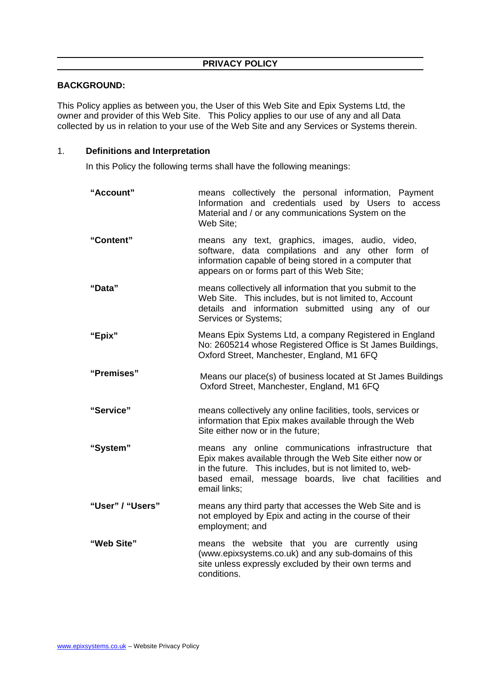## **BACKGROUND:**

This Policy applies as between you, the User of this Web Site and Epix Systems Ltd, the owner and provider of this Web Site. This Policy applies to our use of any and all Data collected by us in relation to your use of the Web Site and any Services or Systems therein.

#### 1. **Definitions and Interpretation**

In this Policy the following terms shall have the following meanings:

| "Account"        | means collectively the personal information, Payment<br>Information and credentials used by Users to access<br>Material and / or any communications System on the<br>Web Site:                                                                       |
|------------------|------------------------------------------------------------------------------------------------------------------------------------------------------------------------------------------------------------------------------------------------------|
| "Content"        | means any text, graphics, images, audio, video,<br>software, data compilations and any other form of<br>information capable of being stored in a computer that<br>appears on or forms part of this Web Site;                                         |
| "Data"           | means collectively all information that you submit to the<br>Web Site. This includes, but is not limited to, Account<br>details and information submitted using any of our<br>Services or Systems;                                                   |
| "Epix"           | Means Epix Systems Ltd, a company Registered in England<br>No: 2605214 whose Registered Office is St James Buildings,<br>Oxford Street, Manchester, England, M1 6FQ                                                                                  |
| "Premises"       | Means our place(s) of business located at St James Buildings<br>Oxford Street, Manchester, England, M1 6FQ                                                                                                                                           |
| "Service"        | means collectively any online facilities, tools, services or<br>information that Epix makes available through the Web<br>Site either now or in the future;                                                                                           |
| "System"         | means any online communications infrastructure that<br>Epix makes available through the Web Site either now or<br>in the future. This includes, but is not limited to, web-<br>based email, message boards, live chat facilities and<br>email links; |
| "User" / "Users" | means any third party that accesses the Web Site and is<br>not employed by Epix and acting in the course of their<br>employment; and                                                                                                                 |
| "Web Site"       | means the website that you are currently using<br>(www.epixsystems.co.uk) and any sub-domains of this<br>site unless expressly excluded by their own terms and<br>conditions.                                                                        |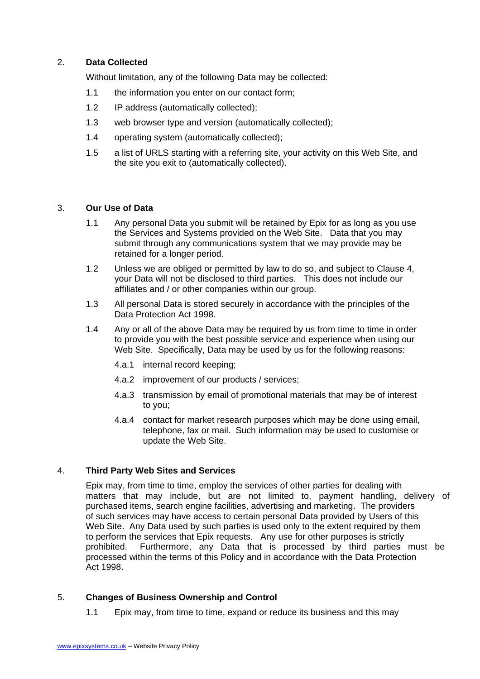# 2. **Data Collected**

Without limitation, any of the following Data may be collected:

- 1.1 the information you enter on our contact form;
- 1.2 IP address (automatically collected);
- 1.3 web browser type and version (automatically collected);
- 1.4 operating system (automatically collected);
- 1.5 a list of URLS starting with a referring site, your activity on this Web Site, and the site you exit to (automatically collected).

#### 3. **Our Use of Data**

- 1.1 Any personal Data you submit will be retained by Epix for as long as you use the Services and Systems provided on the Web Site. Data that you may submit through any communications system that we may provide may be retained for a longer period.
- 1.2 Unless we are obliged or permitted by law to do so, and subject to Clause 4, your Data will not be disclosed to third parties. This does not include our affiliates and / or other companies within our group.
- 1.3 All personal Data is stored securely in accordance with the principles of the Data Protection Act 1998.
- 1.4 Any or all of the above Data may be required by us from time to time in order to provide you with the best possible service and experience when using our Web Site. Specifically, Data may be used by us for the following reasons:
	- 4.a.1 internal record keeping;
	- 4.a.2 improvement of our products / services;
	- 4.a.3 transmission by email of promotional materials that may be of interest to you;
	- 4.a.4 contact for market research purposes which may be done using email, telephone, fax or mail. Such information may be used to customise or update the Web Site.

## 4. **Third Party Web Sites and Services**

Epix may, from time to time, employ the services of other parties for dealing with matters that may include, but are not limited to, payment handling, delivery of purchased items, search engine facilities, advertising and marketing. The providers of such services may have access to certain personal Data provided by Users of this Web Site. Any Data used by such parties is used only to the extent required by them to perform the services that Epix requests. Any use for other purposes is strictly prohibited. Furthermore, any Data that is processed by third parties must be processed within the terms of this Policy and in accordance with the Data Protection Act 1998.

## 5. **Changes of Business Ownership and Control**

1.1 Epix may, from time to time, expand or reduce its business and this may